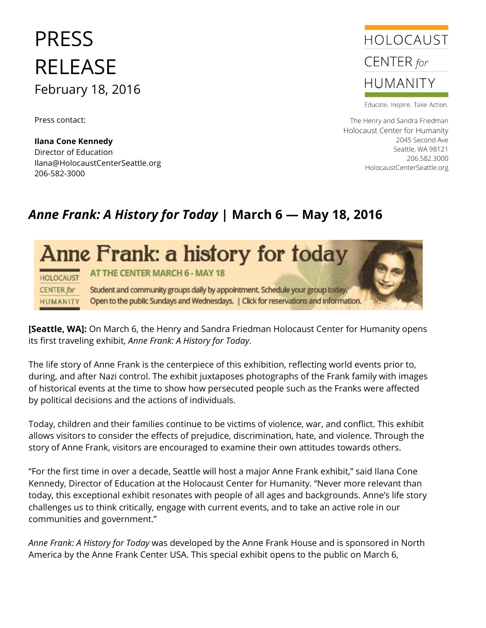# PRESS RELEASE February 18, 2016

Press contact:

**Ilana Cone Kennedy** Director of Education Ilana@HolocaustCenterSeattle.org 206-582-3000



Educate. Inspire. Take Action.

The Henry and Sandra Friedman Holocaust Center for Humanity 2045 Second Ave Seattle, WA 98121 206.582.3000 HolocaustCenterSeattle.org

# *Anne Frank: A History for Today |* **March 6 — May 18, 2016**



**[Seattle, WA]:** On March 6, the Henry and Sandra Friedman Holocaust Center for Humanity opens its first traveling exhibit, *Anne Frank: A History for Today*.

The life story of Anne Frank is the centerpiece of this exhibition, reflecting world events prior to, during, and after Nazi control. The exhibit juxtaposes photographs of the Frank family with images of historical events at the time to show how persecuted people such as the Franks were affected by political decisions and the actions of individuals.

Today, children and their families continue to be victims of violence, war, and conflict. This exhibit allows visitors to consider the effects of prejudice, discrimination, hate, and violence. Through the story of Anne Frank, visitors are encouraged to examine their own attitudes towards others.

"For the first time in over a decade, Seattle will host a major Anne Frank exhibit," said Ilana Cone Kennedy, Director of Education at the Holocaust Center for Humanity. "Never more relevant than today, this exceptional exhibit resonates with people of all ages and backgrounds. Anne's life story challenges us to think critically, engage with current events, and to take an active role in our communities and government."

*Anne Frank: A History for Today* was developed by the Anne Frank House and is sponsored in North America by the Anne Frank Center USA. This special exhibit opens to the public on March 6,